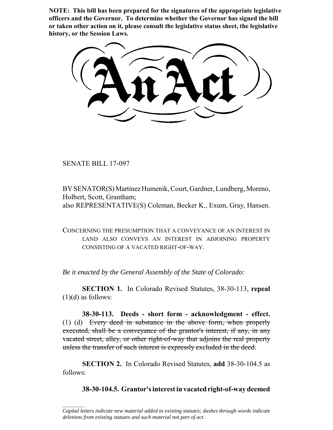**NOTE: This bill has been prepared for the signatures of the appropriate legislative officers and the Governor. To determine whether the Governor has signed the bill or taken other action on it, please consult the legislative status sheet, the legislative history, or the Session Laws.**

SENATE BILL 17-097

 $\frac{1}{2}$ 

BY SENATOR(S) Martinez Humenik, Court, Gardner, Lundberg, Moreno, Holbert, Scott, Grantham; also REPRESENTATIVE(S) Coleman, Becker K., Exum, Gray, Hansen.

CONCERNING THE PRESUMPTION THAT A CONVEYANCE OF AN INTEREST IN LAND ALSO CONVEYS AN INTEREST IN ADJOINING PROPERTY CONSISTING OF A VACATED RIGHT-OF-WAY.

*Be it enacted by the General Assembly of the State of Colorado:*

**SECTION 1.** In Colorado Revised Statutes, 38-30-113, **repeal**  $(1)(d)$  as follows:

**38-30-113. Deeds - short form - acknowledgment - effect.** (1) (d) Every deed in substance in the above form, when properly executed, shall be a conveyance of the grantor's interest, if any, in any vacated street, alley, or other right-of-way that adjoins the real property unless the transfer of such interest is expressly excluded in the deed.

**SECTION 2.** In Colorado Revised Statutes, **add** 38-30-104.5 as follows:

**38-30-104.5. Grantor's interest in vacated right-of-way deemed**

*Capital letters indicate new material added to existing statutes; dashes through words indicate deletions from existing statutes and such material not part of act.*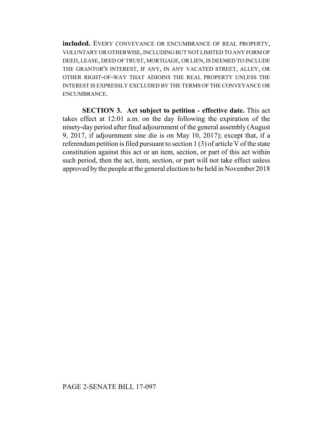**included.** EVERY CONVEYANCE OR ENCUMBRANCE OF REAL PROPERTY, VOLUNTARY OR OTHERWISE, INCLUDING BUT NOT LIMITED TO ANY FORM OF DEED, LEASE, DEED OF TRUST, MORTGAGE, OR LIEN, IS DEEMED TO INCLUDE THE GRANTOR'S INTEREST, IF ANY, IN ANY VACATED STREET, ALLEY, OR OTHER RIGHT-OF-WAY THAT ADJOINS THE REAL PROPERTY UNLESS THE INTEREST IS EXPRESSLY EXCLUDED BY THE TERMS OF THE CONVEYANCE OR ENCUMBRANCE.

**SECTION 3. Act subject to petition - effective date.** This act takes effect at 12:01 a.m. on the day following the expiration of the ninety-day period after final adjournment of the general assembly (August 9, 2017, if adjournment sine die is on May 10, 2017); except that, if a referendum petition is filed pursuant to section 1 (3) of article V of the state constitution against this act or an item, section, or part of this act within such period, then the act, item, section, or part will not take effect unless approved by the people at the general election to be held in November 2018